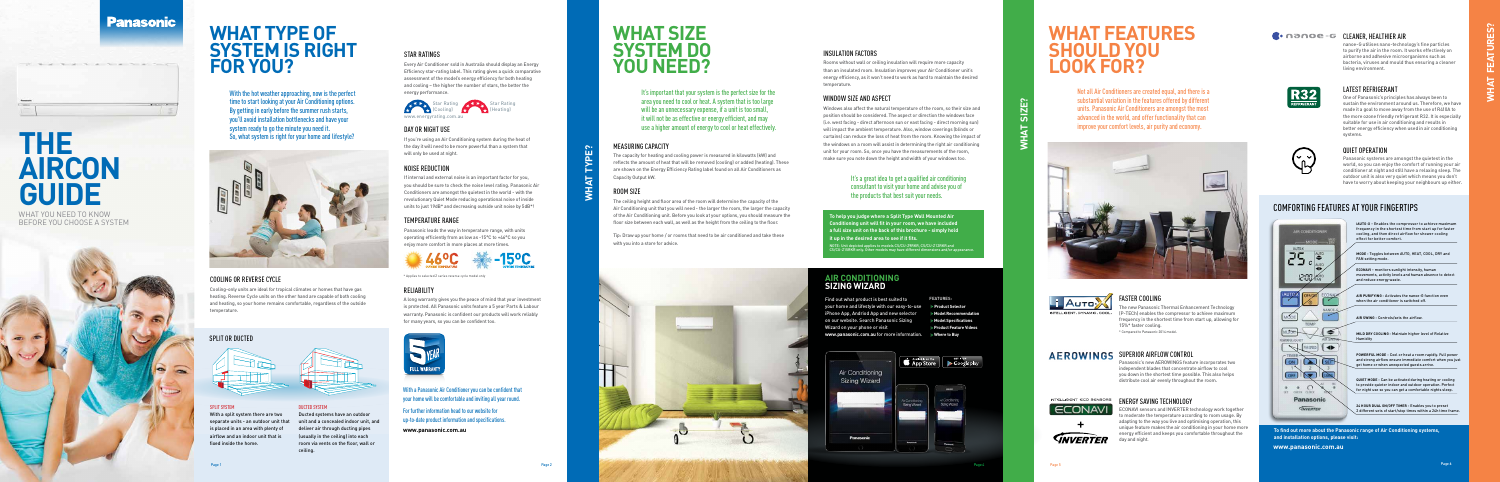### **Panasonic**

 $10 - 6 - 10 - 10$ 

### WHAT TYPE OF **SYSTEM IS RIGHT FOR YOU?**

With the hot weather approaching, now is the perfect time to start looking at your Air Conditioning options. By getting in early before the summer rush starts, you'll avoid installation bottlenecks and have your system ready to go the minute you need it. So, what system is right for your home and lifestyle?



#### COOLING OR REVERSE CYCLE

Cooling-only units are ideal for tropical climates or homes that have gas heating. Reverse Cycle units on the other hand are capable of both cooling and heating, so your home remains comfortable, regardless of the outside temperature.

#### SPLIT OR DUCTED



SPLIT SYSTEM

With a split system there are two separate units - an outdoor unit that is placed in an area with plenty of airflow and an indoor unit that is

fixed inside the home.



DUCTED SYSTEM Ducted systems have an outdoor unit and a concealed indoor unit, and deliver air through ducting pipes (usually in the ceiling) into each room via vents on the floor, wall or ceiling.

**WHAT TYPE?**

\* Applies to selected Z series reverse cycle model only

#### RELIABILITY

A long warranty gives you the peace of mind that your investment is protected. All Panasonic units feature a 5 year Parts & Labour warranty. Panasonic is confident our products will work reliably for many years, so you can be confident too.



It's important that your system is the perfect size for the area you need to cool or heat. A system that is too large will be an unnecessary expense, if a unit is too small, it will not be as effective or energy efficient, and may use a higher amount of energy to cool or heat effectively.

#### STAR RATINGS

Every Air Conditioner sold in Australia should display an Energy Efficiency star-rating label. This rating gives a quick comparative assessment of the model's energy efficiency for both heating and cooling – the higher the number of stars, the better the energy performance.

#### DAY OR NIGHT USE

If you're using an Air Conditioning system during the heat of the day it will need to be more powerful than a system that will only be used at night.

#### NOISE REDUCTION

If internal and external noise is an important factor for you, you should be sure to check the noise level rating. Panasonic Air Conditioners are amongst the quietest in the world - with the revolutionary Quiet Mode reducing operational noise of inside units to just 19dB\* and decreasing outside unit noise by 5dB\*!

> Find out what product is best suited to your home and lifestyle with our easy-to-use iPhone App, Andriod App and new selector on our website. Search Panasonic Sizing Wizard on your phone or visit www.panasonic.com.au for more information. Where to Buy

#### **FEATURES**

#### TEMPERATURE RANGE

Panasonic leads the way in temperature range, with units operating efficiently from as low as -15°C to +46°C so you enjoy more comfort in more places at more times.

Page 5





## **WHAT SIZE SYSTEM DO YOU NEED?**

#### It's a great idea to get a qualified air conditioning consultant to visit your home and advise you of the products that best suit your needs.

#### MEASURING CAPACITY

The capacity for heating and cooling power is measured in kilowatts (kW) and reflects the amount of heat that will be removed (cooling) or added (heating). These are shown on the Energy Efficiency Rating label found on all Air Conditioners as Capacity Output kW.

#### ROOM SIZE

The ceiling height and floor area of the room will determine the capacity of the Air Conditioning unit that you will need - the larger the room, the larger the capacity of the Air Conditioning unit. Before you look at your options, you should measure the floor size between each wall, as well as the height from the ceiling to the floor.

Tip: Draw up your home / or rooms that need to be air conditioned and take these with you into a store for advice.



#### INSULATION FACTORS

Rooms without wall or ceiling insulation will require more capacity than an insulated room. Insulation improves your Air Conditioner unit's energy efficiency, as it won't need to work as hard to maintain the desired temperature.

#### WINDOW SIZE AND ASPECT

Windows also affect the natural temperature of the room, so their size and position should be considered. The aspect or direction the windows face (i.e. west facing - direct afternoon sun or east facing - direct morning sun) will impact the ambient temperature. Also, window coverings (blinds or curtains) can reduce the loss of heat from the room. Knowing the impact of the windows on a room will assist in determining the right air conditioning unit for your room. So, once you have the measurements of the room, make sure you note down the height and width of your windows too.

#### **AIR CONDITIONING SIZING WIZARD**

- **Product Selector**
- **Model Recommendation**
- **Model Specifications**
- **Product Feature Videos**



**To help you judge where a Split Type Wall Mounted Air Conditioning unit will fit in your room, we have included a full size unit on the back of this brochure - simply hold it up in the desired area to see if it fits.**

NOTE: Unit depicted applies to models CS/CU-Z9RKR, CS/CU-Z12RKR and CS/CU-Z15RKR only. Other models may have different dimensions and/or appearance.

### **WHAT FEATURES SHOULD YOU LOOK FOR?**

Not all Air Conditioners are created equal, and there is a substantial variation in the features offered by different units. Panasonic Air Conditioners are amongst the most advanced in the world, and offer functionality that can improve your comfort levels, air purity and economy.



#### **C**• **nance-G CLEANER, HEALTHIER AIR**



| I |  |
|---|--|
|   |  |
| I |  |

COMFORTING FEATURES AT YOUR FINGERTIPS

# **THE AIRCON GUIDE**

The second second to the second second second

WHAT YOU NEED TO KNOW BEFORE YOU CHOOSE A SYSTEM



**To find out more about the Panasonic range of Air Conditioning systems, and installation options, please visit: www.panasonic.com.au**

With a Panasonic Air Conditioner you can be confident that your home will be comfortable and inviting all year round. For further information head to our website for up-to-date product information and specifications.

**www.panasonic.com.au**



Star Rating (Heating)

Panasonic's new AEROWINGS feature incorporates two independent blades that concentrate airflow to cool you down in the shortest time possible. This also helps distribute cool air evenly throughout the room.



*SNVERTER* 

#### ENERGY SAVING TECHNOLOGY

ECONAVI sensors and INVERTER technology work together o moderate the temperature according to room usage. By adapting to the way you live and optimising operation, this unique feature makes the air conditioning in your home more energy efficient and keeps you comfortable throughout the day and night.

#### FASTER COOLING

The new Panasonic Thermal Enhancement Technology (P-TECh) enables the compressor to achieve maximum frequency in the shortest time from start up, allowing for 15%\* faster cooling. \* Compared to Panasonic 2014 model.

AEROWINGS SUPERIOR AIRFLOW CONTROL

nanoe-G utilises nano-technology's fine particles to purify the air in the room. It works effectively on airborne and adhesive microorganisms such as bacteria, viruses and mould thus ensuring a cleaner living environment.

#### QUIET OPERATION

Panasonic systems are amongst the quietest in the world, so you can enjoy the comfort of running your air conditioner at night and still have a relaxing sleep. The outdoor unit is also very quiet which means you don't have to worry about keeping your neighbours up either.





#### LATEST REFRIGERANT

One of Panasonic's principles has always been to sustain the environment around us. Therefore, we have made it a goal to move away from the use of R410A to the more ozone friendly refrigerant R32. It is especially suitable for use in air conditioning and results in better energy efficiency when used in air conditioning systems.